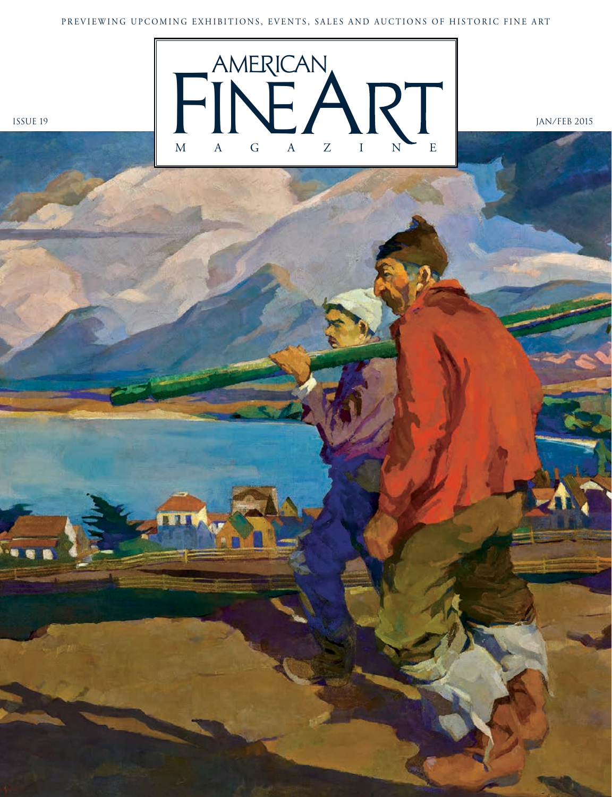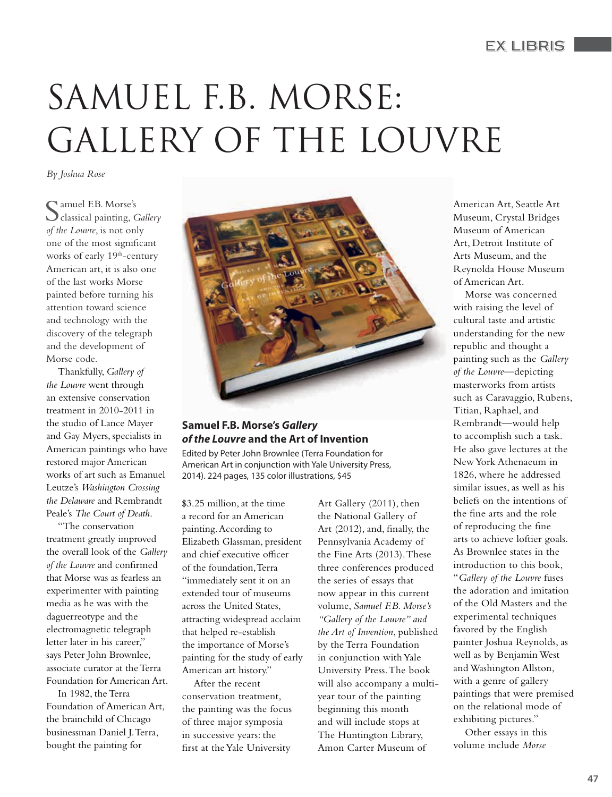## EX LIBRIS

# SAMUEL F.B. MORSE: GALLERY OF THE LOUVRE

*By Joshua Rose*

Samuel F.B. Morse's classical painting, *Gallery of the Louvre*, is not only one of the most significant works of early 19<sup>th</sup>-century American art, it is also one of the last works Morse painted before turning his attention toward science and technology with the discovery of the telegraph and the development of Morse code.

Thankfully, *Gallery of the Louvre* went through an extensive conservation treatment in 2010-2011 in the studio of Lance Mayer and Gay Myers, specialists in American paintings who have restored major American works of art such as Emanuel Leutze's *Washington Crossing the Delaware* and Rembrandt Peale's *The Court of Death*.

"The conservation treatment greatly improved the overall look of the *Gallery of the Louvre* and confirmed that Morse was as fearless an experimenter with painting media as he was with the daguerreotype and the electromagnetic telegraph letter later in his career," says Peter John Brownlee, associate curator at the Terra Foundation for American Art.

In 1982, the Terra Foundation of American Art, the brainchild of Chicago businessman Daniel J. Terra, bought the painting for



#### **Samuel F.B. Morse's** *Gallery of the Louvre* **and the Art of Invention**

Edited by Peter John Brownlee (Terra Foundation for American Art in conjunction with Yale University Press, 2014). 224 pages, 135 color illustrations, \$45

\$3.25 million, at the time a record for an American painting. According to Elizabeth Glassman, president and chief executive officer of the foundation, Terra "immediately sent it on an extended tour of museums across the United States, attracting widespread acclaim that helped re-establish the importance of Morse's painting for the study of early American art history."

After the recent conservation treatment, the painting was the focus of three major symposia in successive years: the first at the Yale University

Art Gallery (2011), then the National Gallery of Art (2012), and, finally, the Pennsylvania Academy of the Fine Arts (2013). These three conferences produced the series of essays that now appear in this current volume, *Samuel F.B. Morse's "Gallery of the Louvre" and the Art of Invention*, published by the Terra Foundation in conjunction with Yale University Press. The book will also accompany a multiyear tour of the painting beginning this month and will include stops at The Huntington Library, Amon Carter Museum of

American Art, Seattle Art Museum, Crystal Bridges Museum of American Art, Detroit Institute of Arts Museum, and the Reynolda House Museum of American Art.

Morse was concerned with raising the level of cultural taste and artistic understanding for the new republic and thought a painting such as the *Gallery of the Louvre*—depicting masterworks from artists such as Caravaggio, Rubens, Titian, Raphael, and Rembrandt—would help to accomplish such a task. He also gave lectures at the New York Athenaeum in 1826, where he addressed similar issues, as well as his beliefs on the intentions of the fine arts and the role of reproducing the fine arts to achieve loftier goals. As Brownlee states in the introduction to this book, "*Gallery of the Louvre* fuses the adoration and imitation of the Old Masters and the experimental techniques favored by the English painter Joshua Reynolds, as well as by Benjamin West and Washington Allston, with a genre of gallery paintings that were premised on the relational mode of exhibiting pictures."

Other essays in this volume include *Morse*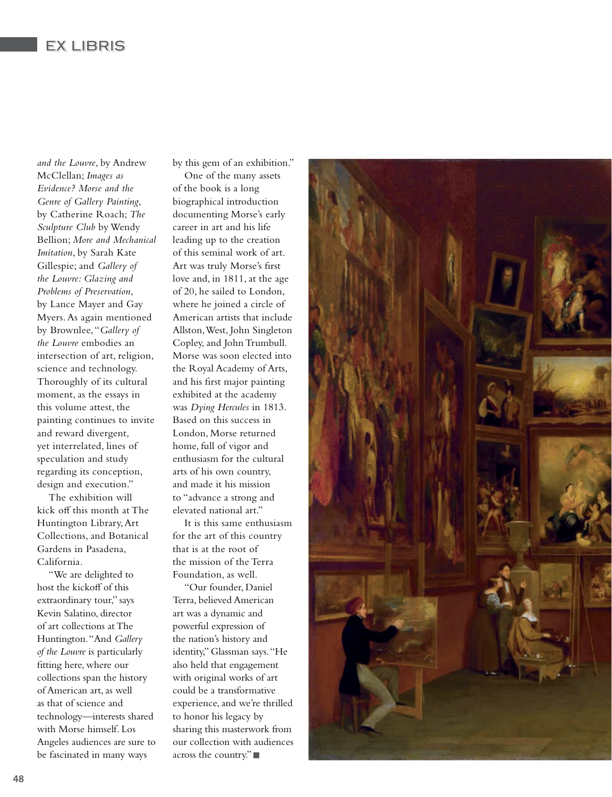## EX LIBRIS

*and the Louvre*, by Andrew McClellan; *Images as Evidence? Morse and the Genre of Gallery Painting*, by Catherine Roach; *The Sculpture Club* by Wendy Bellion; *More and Mechanical Imitation*, by Sarah Kate Gillespie; and *Gallery of the Louvre: Glazing and Problems of Preservation*, by Lance Mayer and Gay Myers. As again mentioned by Brownlee, "*Gallery of the Louvre* embodies an intersection of art, religion, science and technology. Thoroughly of its cultural moment, as the essays in this volume attest, the painting continues to invite and reward divergent, yet interrelated, lines of speculation and study regarding its conception, design and execution."

The exhibition will kick off this month at The Huntington Library, Art Collections, and Botanical Gardens in Pasadena, California.

"We are delighted to host the kickoff of this extraordinary tour," says Kevin Salatino, director of art collections at The Huntington. "And *Gallery of the Louvre* is particularly fitting here, where our collections span the history of American art, as well as that of science and technology—interests shared with Morse himself. Los Angeles audiences are sure to be fascinated in many ways

by this gem of an exhibition."

One of the many assets of the book is a long biographical introduction documenting Morse's early career in art and his life leading up to the creation of this seminal work of art. Art was truly Morse's first love and, in 1811, at the age of 20, he sailed to London, where he joined a circle of American artists that include Allston, West, John Singleton Copley, and John Trumbull. Morse was soon elected into the Royal Academy of Arts, and his first major painting exhibited at the academy was *Dying Hercules* in 1813. Based on this success in London, Morse returned home, full of vigor and enthusiasm for the cultural arts of his own country, and made it his mission to "advance a strong and elevated national art."

It is this same enthusiasm for the art of this country that is at the root of the mission of the Terra Foundation, as well.

"Our founder, Daniel Terra, believed American art was a dynamic and powerful expression of the nation's history and identity," Glassman says. "He also held that engagement with original works of art could be a transformative experience, and we're thrilled to honor his legacy by sharing this masterwork from our collection with audiences across the country."